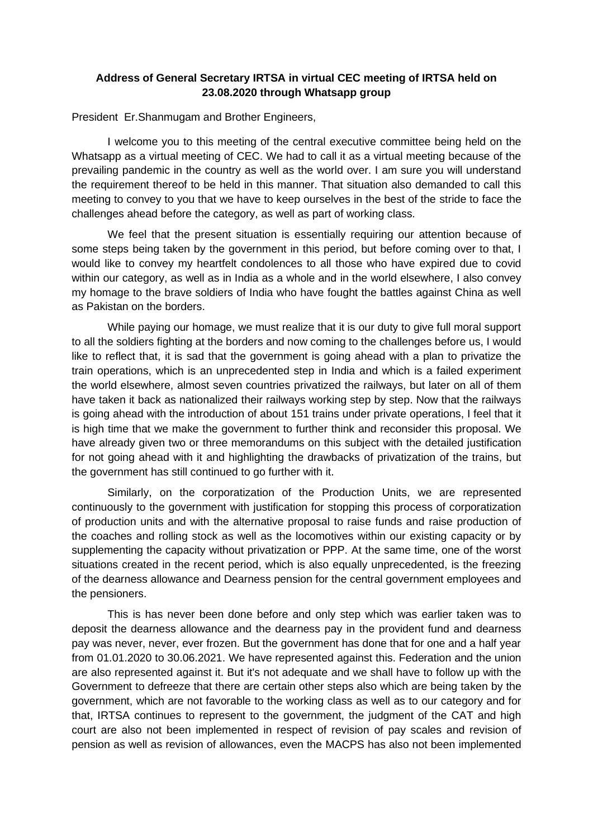## **Address of General Secretary IRTSA in virtual CEC meeting of IRTSA held on 23.08.2020 through Whatsapp group**

President Er.Shanmugam and Brother Engineers,

I welcome you to this meeting of the central executive committee being held on the Whatsapp as a virtual meeting of CEC. We had to call it as a virtual meeting because of the prevailing pandemic in the country as well as the world over. I am sure you will understand the requirement thereof to be held in this manner. That situation also demanded to call this meeting to convey to you that we have to keep ourselves in the best of the stride to face the challenges ahead before the category, as well as part of working class.

We feel that the present situation is essentially requiring our attention because of some steps being taken by the government in this period, but before coming over to that, I would like to convey my heartfelt condolences to all those who have expired due to covid within our category, as well as in India as a whole and in the world elsewhere, I also convey my homage to the brave soldiers of India who have fought the battles against China as well as Pakistan on the borders.

While paying our homage, we must realize that it is our duty to give full moral support to all the soldiers fighting at the borders and now coming to the challenges before us, I would like to reflect that, it is sad that the government is going ahead with a plan to privatize the train operations, which is an unprecedented step in India and which is a failed experiment the world elsewhere, almost seven countries privatized the railways, but later on all of them have taken it back as nationalized their railways working step by step. Now that the railways is going ahead with the introduction of about 151 trains under private operations, I feel that it is high time that we make the government to further think and reconsider this proposal. We have already given two or three memorandums on this subject with the detailed justification for not going ahead with it and highlighting the drawbacks of privatization of the trains, but the government has still continued to go further with it.

Similarly, on the corporatization of the Production Units, we are represented continuously to the government with justification for stopping this process of corporatization of production units and with the alternative proposal to raise funds and raise production of the coaches and rolling stock as well as the locomotives within our existing capacity or by supplementing the capacity without privatization or PPP. At the same time, one of the worst situations created in the recent period, which is also equally unprecedented, is the freezing of the dearness allowance and Dearness pension for the central government employees and the pensioners.

This is has never been done before and only step which was earlier taken was to deposit the dearness allowance and the dearness pay in the provident fund and dearness pay was never, never, ever frozen. But the government has done that for one and a half year from 01.01.2020 to 30.06.2021. We have represented against this. Federation and the union are also represented against it. But it's not adequate and we shall have to follow up with the Government to defreeze that there are certain other steps also which are being taken by the government, which are not favorable to the working class as well as to our category and for that, IRTSA continues to represent to the government, the judgment of the CAT and high court are also not been implemented in respect of revision of pay scales and revision of pension as well as revision of allowances, even the MACPS has also not been implemented